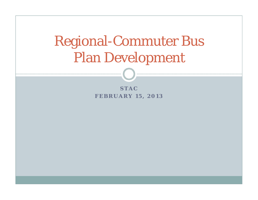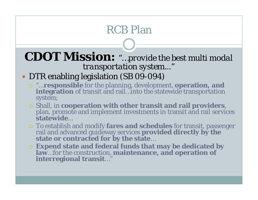#### **CDOT Mission:** *"…provide the best multi modal transportation system..."*

#### DTR enabling legislation (SB 09-094)

- "…**responsible** for the planning, development, **operation, and integration** of transit and rail…into the statewide transportation system;
- o Shall, in cooperation with other transit and rail providers, plan, promote and implement investments in transit and rail services **statewide**
- o To establish and modify fares and schedules for transit, passenger rail and advanced guideway services **provided directly by the state or contracted for by the state...**
- **Expend state and federal funds that may be dedicated by law**…for the construction, **maintenance, and operation of interregional transit**…"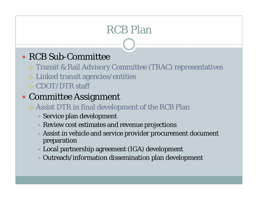#### • RCB Sub-Committee

- Transit & Rail Advisory Committee (TRAC) representatives
- Linked transit agencies/entities
- CDOT/DTR staff

#### Committee Assignment

- Assist DTR in final development of the RCB Plan
	- $\times$  Service plan development
	- $\times$  Review cost estimates and revenue projections
	- Assist in vehicle and service provider procurement document preparation
	- Local partnership agreement (IGA) development
	- $\ast$  Outreach/information dissemination plan development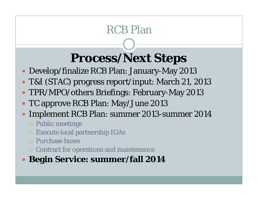# **Process/Next Steps**

- Develop/finalize RCB Plan: January-May 2013
- T&I (STAC) progress report/input: March 21, 2013
- TPR/MPO/others Briefings: February-May 2013
- TC approve RCB Plan: May/June 2013
- $\bullet$  Implement RCB Plan: summer 2013-summer 2014
	- Public meetings
	- Execute local partnership IGAs
	- Purchase buses
	- Contract for operations and maintenance
- **Begin Service: summer/fall 2014**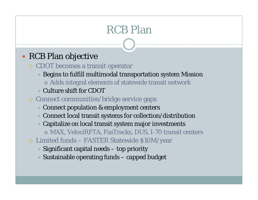#### RCB Plan objective

- CDOT becomes a transit operator
	- $\ast$  Begins to fulfill multimodal transportation system Mission
		- Adds integral elements of statewide transit network
	- Culture shift for CDOT
- Connect communities/bridge service gaps
	- Connect population & employment centers
	- $\ast$  Connect local transit systems for collection/distribution
	- $\ast$  Capitalize on local transit system major investments
		- MAX, VelociRFTA, FasTracks, DUS, I-70 transit centers
- Limited funds FASTER Statewide \$10M/year
	- $\triangleleft$  Significant capital needs  $-$  top priority
	- $\ast$  Sustainable operating funds capped budget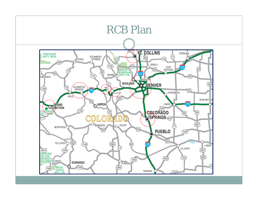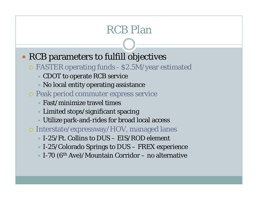- RCB parameters to fulfill objectives
	- FASTER operating funds \$2.5M/year estimated
		- CDOT to operate RCB service
		- $\times$  No local entity operating assistance
	- Peak period commuter express service
		- $\times$  Fast/minimize travel times
		- $\times$  Limited stops/significant spacing
		- $\times$  Utilize park-and-rides for broad local access
	- Interstate/expressway/HOV, managed lanes
		- $\times$  I-25/Ft. Collins to DUS EIS/ROD element
		- $\times$  I-25/Colorado Springs to DUS FREX experience
		- $\times$  I-70 (6<sup>th</sup> Ave)/Mountain Corridor no alternative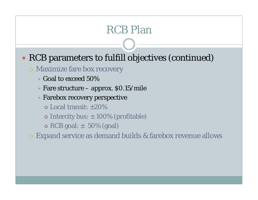#### RCB parameters to fulfill objectives (continued)

#### Maximize fare box recovery

- $\times$  Goal to exceed 50%
- $\times$  Fare structure approx. \$0.15/mile
- Farebox recovery perspective
	- Local transit: ±20%
	- $\bullet$  Intercity bus:  $\pm$  100% (profitable)
	- $\bullet$  RCB goal:  $\pm$  50% (goal)
- Expand service as demand builds & farebox revenue allows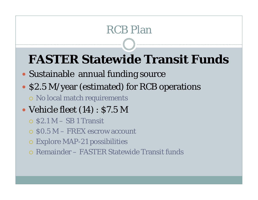# **FASTER Statewide Transit Funds**

- Sustainable annual funding source
- \$2.5 M/year (estimated) for RCB operations
	- No local match requirements
- Vehicle fleet (14) : \$7.5 M
	- $\circ$  \$2.1 M SB 1 Transit
	- $\circ$  \$0.5 M FREX escrow account
	- Explore MAP-21 possibilities
	- Remainder FASTER Statewide Transit funds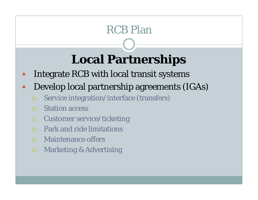# **Local Partnerships**

- $\bullet$ Integrate RCB with local transit systems
- $\bullet$  Develop local partnership agreements (IGAs)
	- $\bigcirc$ Service integration/interface (transfers)
	- $\bigcap$ Station access
	- $\bigcap$ Customer service/ticketing
	- O Park and ride limitations
	- Maintenance offers
	- $\overline{O}$ Marketing & Advertising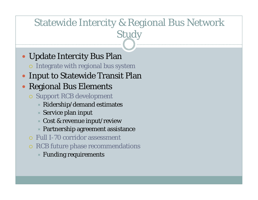#### Statewide Intercity & Regional Bus Network Study

- Update Intercity Bus Plan
	- Integrate with regional bus system
- **Input to Statewide Transit Plan**
- $\bullet$  Regional Bus Elements
	- Support RCB development
		- $\times$  Ridership/demand estimates
		- $\times$  Service plan input
		- Cost & revenue input/review
		- Partnership agreement assistance
	- Full I-70 corridor assessment
	- RCB future phase recommendations
		- $\ast$  Funding requirements